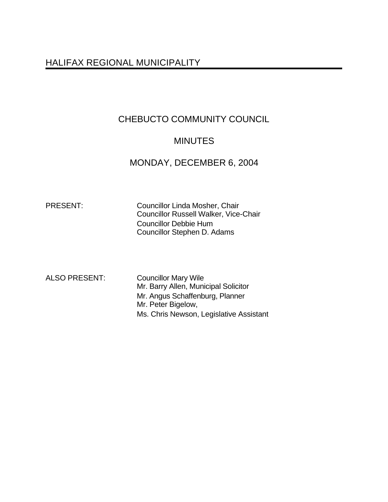# HALIFAX REGIONAL MUNICIPALITY

# CHEBUCTO COMMUNITY COUNCIL

# **MINUTES**

# MONDAY, DECEMBER 6, 2004

PRESENT: Councillor Linda Mosher, Chair Councillor Russell Walker, Vice-Chair Councillor Debbie Hum Councillor Stephen D. Adams

ALSO PRESENT: Councillor Mary Wile Mr. Barry Allen, Municipal Solicitor Mr. Angus Schaffenburg, Planner Mr. Peter Bigelow, Ms. Chris Newson, Legislative Assistant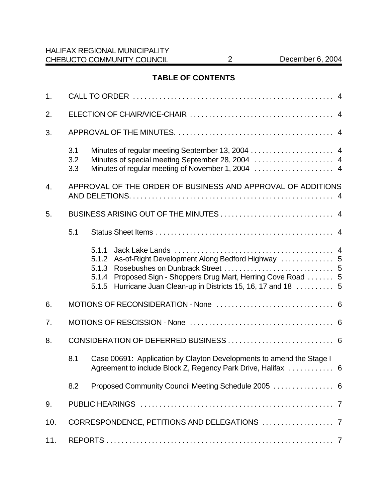## **TABLE OF CONTENTS**

| 1.  |                   |                                                                                                                                                                                                                        |  |  |  |  |
|-----|-------------------|------------------------------------------------------------------------------------------------------------------------------------------------------------------------------------------------------------------------|--|--|--|--|
| 2.  |                   |                                                                                                                                                                                                                        |  |  |  |  |
| 3.  |                   |                                                                                                                                                                                                                        |  |  |  |  |
|     | 3.1<br>3.2<br>3.3 | Minutes of special meeting September 28, 2004  4                                                                                                                                                                       |  |  |  |  |
| 4.  |                   | APPROVAL OF THE ORDER OF BUSINESS AND APPROVAL OF ADDITIONS                                                                                                                                                            |  |  |  |  |
| 5.  |                   |                                                                                                                                                                                                                        |  |  |  |  |
|     | 5.1               |                                                                                                                                                                                                                        |  |  |  |  |
|     |                   | 5.1.1<br>As-of-Right Development Along Bedford Highway  5<br>5.1.2<br>5.1.3<br>Proposed Sign - Shoppers Drug Mart, Herring Cove Road  5<br>5.1.4<br>Hurricane Juan Clean-up in Districts 15, 16, 17 and 18  5<br>5.1.5 |  |  |  |  |
| 6.  |                   |                                                                                                                                                                                                                        |  |  |  |  |
| 7.  |                   |                                                                                                                                                                                                                        |  |  |  |  |
| 8.  |                   |                                                                                                                                                                                                                        |  |  |  |  |
|     | 8.1               | Case 00691: Application by Clayton Developments to amend the Stage I<br>Agreement to include Block Z, Regency Park Drive, Halifax  6                                                                                   |  |  |  |  |
|     | 8.2               | Proposed Community Council Meeting Schedule 2005  6                                                                                                                                                                    |  |  |  |  |
| 9.  |                   |                                                                                                                                                                                                                        |  |  |  |  |
| 10. |                   |                                                                                                                                                                                                                        |  |  |  |  |
| 11. |                   |                                                                                                                                                                                                                        |  |  |  |  |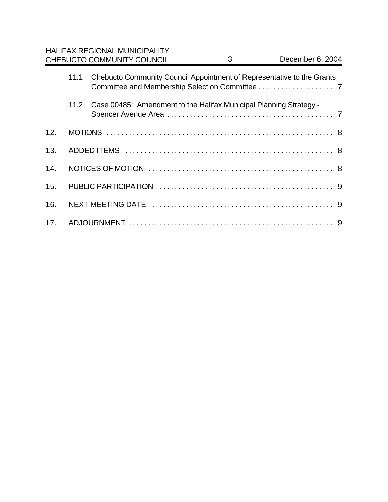|     |      | <b>HALIFAX REGIONAL MUNICIPALITY</b><br><b>CHEBUCTO COMMUNITY COUNCIL</b> | 3 | December 6, 2004 |  |  |  |
|-----|------|---------------------------------------------------------------------------|---|------------------|--|--|--|
|     | 11.1 | Chebucto Community Council Appointment of Representative to the Grants    |   |                  |  |  |  |
|     | 11.2 | Case 00485: Amendment to the Halifax Municipal Planning Strategy -        |   |                  |  |  |  |
| 12. |      |                                                                           |   |                  |  |  |  |
| 13. |      |                                                                           |   |                  |  |  |  |
| 14. |      |                                                                           |   |                  |  |  |  |
| 15. |      |                                                                           |   |                  |  |  |  |
| 16. |      |                                                                           |   |                  |  |  |  |
| 17. |      |                                                                           |   |                  |  |  |  |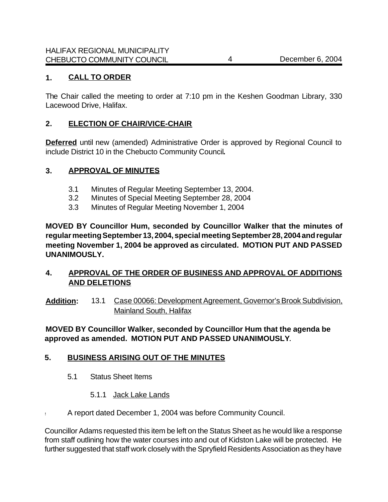## **1. CALL TO ORDER**

The Chair called the meeting to order at 7:10 pm in the Keshen Goodman Library, 330 Lacewood Drive, Halifax.

### **2. ELECTION OF CHAIR/VICE-CHAIR**

**Deferred** until new (amended) Administrative Order is approved by Regional Council to include District 10 in the Chebucto Community Council**.**

### **3. APPROVAL OF MINUTES**

- 3.1 Minutes of Regular Meeting September 13, 2004.
- 3.2 Minutes of Special Meeting September 28, 2004
- 3.3 Minutes of Regular Meeting November 1, 2004

**MOVED BY Councillor Hum, seconded by Councillor Walker that the minutes of regular meeting September 13, 2004, special meeting September 28, 2004 and regular meeting November 1, 2004 be approved as circulated. MOTION PUT AND PASSED UNANIMOUSLY.**

## **4. APPROVAL OF THE ORDER OF BUSINESS AND APPROVAL OF ADDITIONS AND DELETIONS**

**Addition:** 13.1 Case 00066: Development Agreement, Governor's Brook Subdivision, Mainland South, Halifax

## **MOVED BY Councillor Walker, seconded by Councillor Hum that the agenda be approved as amended. MOTION PUT AND PASSED UNANIMOUSLY.**

## **5. BUSINESS ARISING OUT OF THE MINUTES**

- 5.1 Status Sheet Items
	- 5.1.1 Jack Lake Lands
- A report dated December 1, 2004 was before Community Council.

Councillor Adams requested this item be left on the Status Sheet as he would like a response from staff outlining how the water courses into and out of Kidston Lake will be protected. He further suggested that staff work closely with the Spryfield Residents Association as they have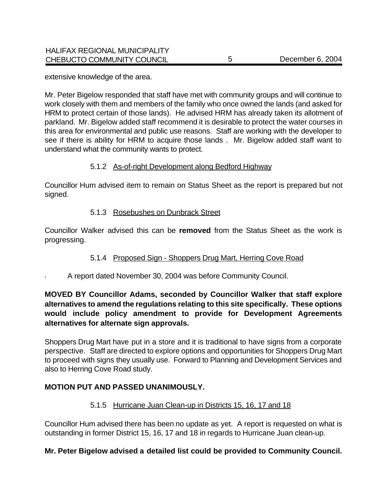extensive knowledge of the area.

Mr. Peter Bigelow responded that staff have met with community groups and will continue to work closely with them and members of the family who once owned the lands (and asked for HRM to protect certain of those lands). He advised HRM has already taken its allotment of parkland. Mr. Bigelow added staff recommend it is desirable to protect the water courses in this area for environmental and public use reasons. Staff are working with the developer to see if there is ability for HRM to acquire those lands . Mr. Bigelow added staff want to understand what the community wants to protect.

### 5.1.2 As-of-right Development along Bedford Highway

Councillor Hum advised item to remain on Status Sheet as the report is prepared but not signed.

### 5.1.3 Rosebushes on Dunbrack Street

Councillor Walker advised this can be **removed** from the Status Sheet as the work is progressing.

## 5.1.4 Proposed Sign - Shoppers Drug Mart, Herring Cove Road

! A report dated November 30, 2004 was before Community Council.

## **MOVED BY Councillor Adams, seconded by Councillor Walker that staff explore alternatives to amend the regulations relating to this site specifically. These options would include policy amendment to provide for Development Agreements alternatives for alternate sign approvals.**

Shoppers Drug Mart have put in a store and it is traditional to have signs from a corporate perspective. Staff are directed to explore options and opportunities for Shoppers Drug Mart to proceed with signs they usually use. Forward to Planning and Development Services and also to Herring Cove Road study.

## **MOTION PUT AND PASSED UNANIMOUSLY.**

#### 5.1.5 Hurricane Juan Clean-up in Districts 15, 16, 17 and 18

Councillor Hum advised there has been no update as yet. A report is requested on what is outstanding in former District 15, 16, 17 and 18 in regards to Hurricane Juan clean-up.

#### **Mr. Peter Bigelow advised a detailed list could be provided to Community Council.**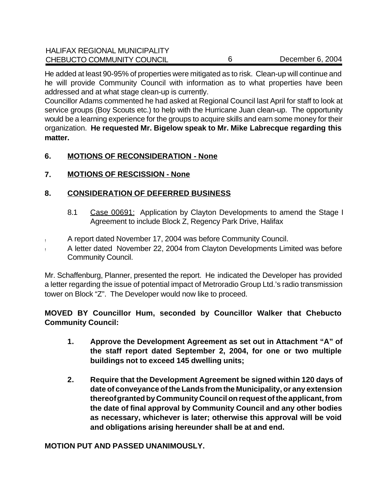He added at least 90-95% of properties were mitigated as to risk. Clean-up will continue and he will provide Community Council with information as to what properties have been addressed and at what stage clean-up is currently.

Councillor Adams commented he had asked at Regional Council last April for staff to look at service groups (Boy Scouts etc.) to help with the Hurricane Juan clean-up. The opportunity would be a learning experience for the groups to acquire skills and earn some money for their organization. **He requested Mr. Bigelow speak to Mr. Mike Labrecque regarding this matter.**

## **6. MOTIONS OF RECONSIDERATION - None**

## **7. MOTIONS OF RESCISSION - None**

## **8. CONSIDERATION OF DEFERRED BUSINESS**

- 8.1 Case 00691: Application by Clayton Developments to amend the Stage I Agreement to include Block Z, Regency Park Drive, Halifax
- ! A report dated November 17, 2004 was before Community Council.
- ! A letter dated November 22, 2004 from Clayton Developments Limited was before Community Council.

Mr. Schaffenburg, Planner, presented the report. He indicated the Developer has provided a letter regarding the issue of potential impact of Metroradio Group Ltd.'s radio transmission tower on Block "Z". The Developer would now like to proceed.

**MOVED BY Councillor Hum, seconded by Councillor Walker that Chebucto Community Council:**

- **1. Approve the Development Agreement as set out in Attachment "A" of the staff report dated September 2, 2004, for one or two multiple buildings not to exceed 145 dwelling units;**
- **2. Require that the Development Agreement be signed within 120 days of date of conveyance of the Lands from the Municipality, or any extension thereof granted by Community Council on request of the applicant, from the date of final approval by Community Council and any other bodies as necessary, whichever is later; otherwise this approval will be void and obligations arising hereunder shall be at and end.**

**MOTION PUT AND PASSED UNANIMOUSLY.**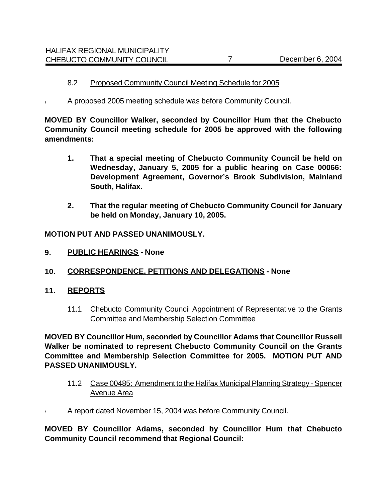#### 8.2 Proposed Community Council Meeting Schedule for 2005

! A proposed 2005 meeting schedule was before Community Council.

**MOVED BY Councillor Walker, seconded by Councillor Hum that the Chebucto Community Council meeting schedule for 2005 be approved with the following amendments:**

- **1. That a special meeting of Chebucto Community Council be held on Wednesday, January 5, 2005 for a public hearing on Case 00066: Development Agreement, Governor's Brook Subdivision, Mainland South, Halifax.**
- **2. That the regular meeting of Chebucto Community Council for January be held on Monday, January 10, 2005.**

**MOTION PUT AND PASSED UNANIMOUSLY.**

- **9. PUBLIC HEARINGS****None**
- **10. CORRESPONDENCE, PETITIONS AND DELEGATIONS None**
- **11. REPORTS**
	- 11.1 Chebucto Community Council Appointment of Representative to the Grants Committee and Membership Selection Committee

**MOVED BY Councillor Hum, seconded by Councillor Adams that Councillor Russell Walker be nominated to represent Chebucto Community Council on the Grants Committee and Membership Selection Committee for 2005. MOTION PUT AND PASSED UNANIMOUSLY.** 

- 11.2 Case 00485: Amendment to the Halifax Municipal Planning Strategy Spencer Avenue Area
- ! A report dated November 15, 2004 was before Community Council.

**MOVED BY Councillor Adams, seconded by Councillor Hum that Chebucto Community Council recommend that Regional Council:**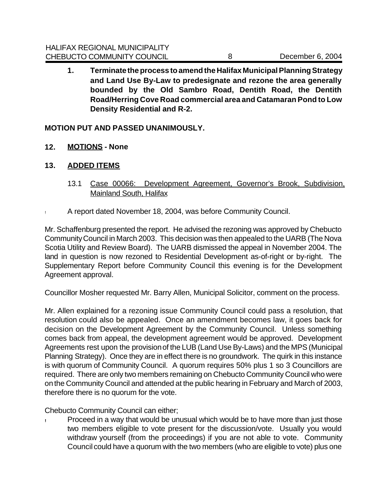**1. Terminate the process to amend the Halifax Municipal Planning Strategy and Land Use By-Law to predesignate and rezone the area generally bounded by the Old Sambro Road, Dentith Road, the Dentith Road/Herring Cove Road commercial area and Catamaran Pond to Low Density Residential and R-2.**

## **MOTION PUT AND PASSED UNANIMOUSLY.**

- **12. MOTIONS None**
- **13. ADDED ITEMS**
	- 13.1 Case 00066: Development Agreement, Governor's Brook, Subdivision, Mainland South, Halifax
- ! A report dated November 18, 2004, was before Community Council.

Mr. Schaffenburg presented the report. He advised the rezoning was approved by Chebucto Community Council in March 2003. This decision was then appealed to the UARB (The Nova Scotia Utility and Review Board). The UARB dismissed the appeal in November 2004. The land in question is now rezoned to Residential Development as-of-right or by-right. The Supplementary Report before Community Council this evening is for the Development Agreement approval.

Councillor Mosher requested Mr. Barry Allen, Municipal Solicitor, comment on the process.

Mr. Allen explained for a rezoning issue Community Council could pass a resolution, that resolution could also be appealed. Once an amendment becomes law, it goes back for decision on the Development Agreement by the Community Council. Unless something comes back from appeal, the development agreement would be approved. Development Agreements rest upon the provision of the LUB (Land Use By-Laws) and the MPS (Municipal Planning Strategy). Once they are in effect there is no groundwork. The quirk in this instance is with quorum of Community Council. A quorum requires 50% plus 1 so 3 Councillors are required. There are only two members remaining on Chebucto Community Council who were on the Community Council and attended at the public hearing in February and March of 2003, therefore there is no quorum for the vote.

Chebucto Community Council can either;

**!** Proceed in a way that would be unusual which would be to have more than just those two members eligible to vote present for the discussion/vote. Usually you would withdraw yourself (from the proceedings) if you are not able to vote. Community Council could have a quorum with the two members (who are eligible to vote) plus one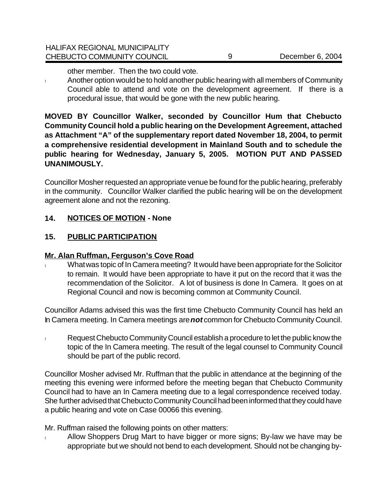other member. Then the two could vote.

! Another option would be to hold another public hearing with all members of Community Council able to attend and vote on the development agreement. If there is a procedural issue, that would be gone with the new public hearing.

**MOVED BY Councillor Walker, seconded by Councillor Hum that Chebucto Community Council hold a public hearing on the Development Agreement, attached as Attachment "A" of the supplementary report dated November 18, 2004, to permit a comprehensive residential development in Mainland South and to schedule the public hearing for Wednesday, January 5, 2005. MOTION PUT AND PASSED UNANIMOUSLY.** 

Councillor Mosher requested an appropriate venue be found for the public hearing, preferably in the community. Councillor Walker clarified the public hearing will be on the development agreement alone and not the rezoning.

## **14. NOTICES OF MOTION - None**

## **15. PUBLIC PARTICIPATION**

## **Mr. Alan Ruffman, Ferguson's Cove Road**

What was topic of In Camera meeting? It would have been appropriate for the Solicitor to remain. It would have been appropriate to have it put on the record that it was the recommendation of the Solicitor. A lot of business is done In Camera. It goes on at Regional Council and now is becoming common at Community Council.

Councillor Adams advised this was the first time Chebucto Community Council has held an In Camera meeting. In Camera meetings are *not* common for Chebucto Community Council.

! Request Chebucto Community Council establish a procedure to let the public know the topic of the In Camera meeting. The result of the legal counsel to Community Council should be part of the public record.

Councillor Mosher advised Mr. Ruffman that the public in attendance at the beginning of the meeting this evening were informed before the meeting began that Chebucto Community Council had to have an In Camera meeting due to a legal correspondence received today. She further advised that Chebucto Community Council had been informed that they could have a public hearing and vote on Case 00066 this evening.

Mr. Ruffman raised the following points on other matters:

! Allow Shoppers Drug Mart to have bigger or more signs; By-law we have may be appropriate but we should not bend to each development. Should not be changing by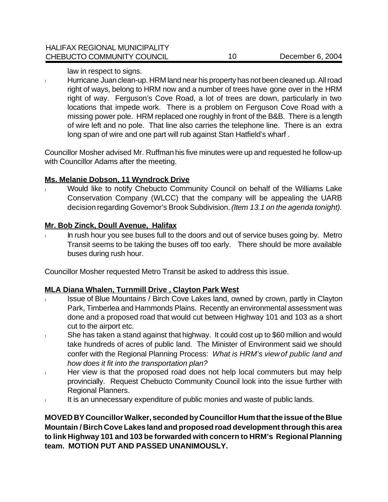law in respect to signs.

! Hurricane Juan clean-up. HRM land near his property has not been cleaned up. All road right of ways, belong to HRM now and a number of trees have gone over in the HRM right of way. Ferguson's Cove Road, a lot of trees are down, particularly in two locations that impede work. There is a problem on Ferguson Cove Road with a missing power pole. HRM replaced one roughly in front of the B&B. There is a length of wire left and no pole. That line also carries the telephone line. There is an extra long span of wire and one part will rub against Stan Hatfield's wharf.

Councillor Mosher advised Mr. Ruffman his five minutes were up and requested he follow-up with Councillor Adams after the meeting.

#### **Ms. Melanie Dobson, 11 Wyndrock Drive**

Would like to notify Chebucto Community Council on behalf of the Williams Lake Conservation Company (WLCC) that the company will be appealing the UARB decision regarding Governor's Brook Subdivision. *(Item 13.1 on the agenda tonight).*

#### **Mr. Bob Zinck, Doull Avenue, Halifax**

In rush hour you see buses full to the doors and out of service buses going by. Metro Transit seems to be taking the buses off too early. There should be more available buses during rush hour.

Councillor Mosher requested Metro Transit be asked to address this issue.

#### **MLA Diana Whalen, Turnmill Drive , Clayton Park West**

- Issue of Blue Mountains / Birch Cove Lakes land, owned by crown, partly in Clayton Park, Timberlea and Hammonds Plains. Recently an environmental assessment was done and a proposed road that would cut between Highway 101 and 103 as a short cut to the airport etc.
- ! She has taken a stand against that highway. It could cost up to \$60 million and would take hundreds of acres of public land. The Minister of Environment said we should confer with the Regional Planning Process: *What is HRM's view of public land and how does it fit into the transportation plan?*
- ! Her view is that the proposed road does not help local commuters but may help provincially. Request Chebucto Community Council look into the issue further with Regional Planners.
- It is an unnecessary expenditure of public monies and waste of public lands.

**MOVED BY Councillor Walker, seconded by Councillor Hum that the issue of the Blue Mountain / Birch Cove Lakes land and proposed road development through this area to link Highway 101 and 103 be forwarded with concern to HRM's Regional Planning team. MOTION PUT AND PASSED UNANIMOUSLY.**